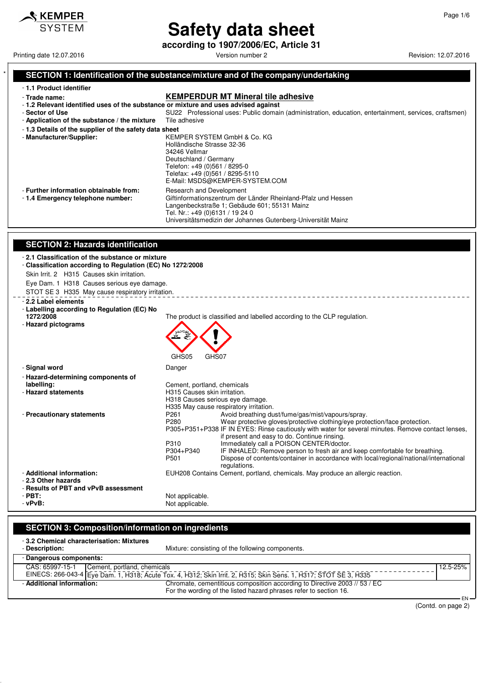

 $\mathcal$ **KEMPER SYSTEM** 

# **Safety data sheet**

**according to 1907/2006/EC, Article 31**

Printing date 12.07.2016 **Principal and COVID-12.07.2016** Version number 2 Revision: 12.07.2016

## SECTION 1: Identification of the substance/mixture and of the company/undertaking

|  | - 1.1 Product identifier     |  |  |
|--|------------------------------|--|--|
|  | - Trade name:                |  |  |
|  | d. O. Deletterat islandific. |  |  |

# **KEMPERDUR MT Mineral tile adhesive**<br>Intified uses of the substance or mixture and uses advised against

| -1.2 Relevant identified uses of the substance or mixture and uses advised against |                                                                                                                                                                                                                                              |
|------------------------------------------------------------------------------------|----------------------------------------------------------------------------------------------------------------------------------------------------------------------------------------------------------------------------------------------|
| - Sector of Use                                                                    | SU22 Professional uses: Public domain (administration, education, entertainment, services, craftsmen)                                                                                                                                        |
| - Application of the substance / the mixture                                       | Tile adhesive                                                                                                                                                                                                                                |
| -1.3 Details of the supplier of the safety data sheet                              |                                                                                                                                                                                                                                              |
| - Manufacturer/Supplier:                                                           | KEMPER SYSTEM GmbH & Co. KG<br>Holländische Strasse 32-36<br>34246 Vellmar<br>Deutschland / Germany<br>Telefon: +49 (0)561 / 8295-0<br>Telefax: +49 (0)561 / 8295-5110<br>E-Mail: MSDS@KEMPER-SYSTEM.COM                                     |
| - Further information obtainable from:<br>-1.4 Emergency telephone number:         | Research and Development<br>Giftinformationszentrum der Länder Rheinland-Pfalz und Hessen<br>Langenbeckstraße 1; Gebäude 601; 55131 Mainz<br>Tel. Nr.: +49 (0)6131 / 19 24 0<br>Universitätsmedizin der Johannes Gutenberg-Universität Mainz |

## **SECTION 2: Hazards identification**

| <u>JLUTIUN 4. Hazarus Iuentinuation</u>                                                                                                                                                                                                                       |                                                                                                                                                                                                                                                                                                                                                                                                                                                                                                                                                                                                            |
|---------------------------------------------------------------------------------------------------------------------------------------------------------------------------------------------------------------------------------------------------------------|------------------------------------------------------------------------------------------------------------------------------------------------------------------------------------------------------------------------------------------------------------------------------------------------------------------------------------------------------------------------------------------------------------------------------------------------------------------------------------------------------------------------------------------------------------------------------------------------------------|
| -2.1 Classification of the substance or mixture<br>- Classification according to Regulation (EC) No 1272/2008<br>Skin Irrit. 2 H315 Causes skin irritation.<br>Eye Dam. 1 H318 Causes serious eye damage.<br>STOT SE 3 H335 May cause respiratory irritation. |                                                                                                                                                                                                                                                                                                                                                                                                                                                                                                                                                                                                            |
| - 2.2 Label elements<br>- Labelling according to Regulation (EC) No<br>1272/2008<br>- Hazard pictograms                                                                                                                                                       | The product is classified and labelled according to the CLP regulation.<br>GHS <sub>05</sub><br>GHS07                                                                                                                                                                                                                                                                                                                                                                                                                                                                                                      |
| - Signal word                                                                                                                                                                                                                                                 | Danger                                                                                                                                                                                                                                                                                                                                                                                                                                                                                                                                                                                                     |
| - Hazard-determining components of                                                                                                                                                                                                                            |                                                                                                                                                                                                                                                                                                                                                                                                                                                                                                                                                                                                            |
| labelling:                                                                                                                                                                                                                                                    | Cement, portland, chemicals                                                                                                                                                                                                                                                                                                                                                                                                                                                                                                                                                                                |
| - Hazard statements                                                                                                                                                                                                                                           | H315 Causes skin irritation.<br>H318 Causes serious eye damage.<br>H335 May cause respiratory irritation.                                                                                                                                                                                                                                                                                                                                                                                                                                                                                                  |
| - Precautionary statements                                                                                                                                                                                                                                    | P <sub>261</sub><br>Avoid breathing dust/fume/gas/mist/vapours/spray.<br>P <sub>280</sub><br>Wear protective gloves/protective clothing/eye protection/face protection.<br>P305+P351+P338 IF IN EYES: Rinse cautiously with water for several minutes. Remove contact lenses,<br>if present and easy to do. Continue rinsing.<br>Immediately call a POISON CENTER/doctor.<br>P310<br>P304+P340<br>IF INHALED: Remove person to fresh air and keep comfortable for breathing.<br>Dispose of contents/container in accordance with local/regional/national/international<br>P <sub>501</sub><br>regulations. |
| - Additional information:<br>- 2.3 Other hazards<br>- Results of PBT and vPvB assessment                                                                                                                                                                      | EUH208 Contains Cement, portland, chemicals. May produce an allergic reaction.                                                                                                                                                                                                                                                                                                                                                                                                                                                                                                                             |
| $-$ PBT:                                                                                                                                                                                                                                                      | Not applicable.                                                                                                                                                                                                                                                                                                                                                                                                                                                                                                                                                                                            |
| $-vPvB$ :                                                                                                                                                                                                                                                     | Not applicable.                                                                                                                                                                                                                                                                                                                                                                                                                                                                                                                                                                                            |

### **SECTION 3: Composition/information on ingredients** - **3.2 Chemical characterisation: Mixtures** Mixture: consisting of the following components.

| - Dangerous components:   |                                                                                                                  |              |  |  |
|---------------------------|------------------------------------------------------------------------------------------------------------------|--------------|--|--|
|                           | CAS: 65997-15-1 Cement, portland, chemicals                                                                      | $12.5 - 25%$ |  |  |
|                           | EINECS: 266-043-4 Eye Dam. 1, H318; Acute Tox. 4, H312; Skin Irrit. 2, H315; Skin Sens. 1, H317; STOT SE 3, H335 |              |  |  |
| - Additional information: | Chromate, cementitious composition according to Directive 2003 // 53 / EC                                        |              |  |  |
|                           | For the wording of the listed hazard phrases refer to section 16.                                                |              |  |  |
|                           |                                                                                                                  | ᄃᄭ –         |  |  |

(Contd. on page 2)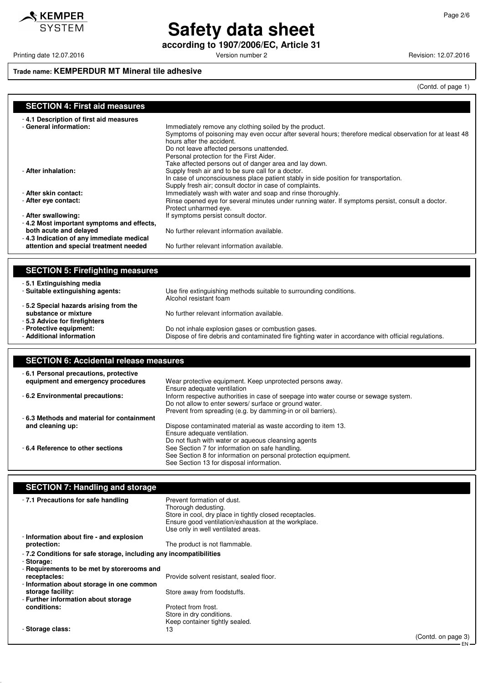KEMPER **SYSTEM** 

# **Safety data sheet**

**according to 1907/2006/EC, Article 31**

Printing date 12.07.2016 **Principal and COVID-12.07.2016** Version number 2 Revision: 12.07.2016

## **Trade name: KEMPERDUR MT Mineral tile adhesive**

(Contd. of page 1)

### **SECTION 4: First aid measures**

| -4.1 Description of first aid measures<br>- General information:   | Immediately remove any clothing soiled by the product.<br>Symptoms of poisoning may even occur after several hours; therefore medical observation for at least 48<br>hours after the accident.<br>Do not leave affected persons unattended.<br>Personal protection for the First Aider.<br>Take affected persons out of danger area and lay down. |
|--------------------------------------------------------------------|---------------------------------------------------------------------------------------------------------------------------------------------------------------------------------------------------------------------------------------------------------------------------------------------------------------------------------------------------|
| - After inhalation:                                                | Supply fresh air and to be sure call for a doctor.                                                                                                                                                                                                                                                                                                |
|                                                                    | In case of unconsciousness place patient stably in side position for transportation.<br>Supply fresh air; consult doctor in case of complaints.                                                                                                                                                                                                   |
| - After skin contact:                                              | Immediately wash with water and soap and rinse thoroughly.                                                                                                                                                                                                                                                                                        |
| - After eye contact:                                               | Rinse opened eye for several minutes under running water. If symptoms persist, consult a doctor.<br>Protect unharmed eye.                                                                                                                                                                                                                         |
| - After swallowing:                                                | If symptoms persist consult doctor.                                                                                                                                                                                                                                                                                                               |
| -4.2 Most important symptoms and effects,                          |                                                                                                                                                                                                                                                                                                                                                   |
| both acute and delayed<br>-4.3 Indication of any immediate medical | No further relevant information available.                                                                                                                                                                                                                                                                                                        |
| attention and special treatment needed                             | No further relevant information available.                                                                                                                                                                                                                                                                                                        |
|                                                                    |                                                                                                                                                                                                                                                                                                                                                   |

### **SECTION 5: Firefighting measures**

| - 5.1 Extinguishing media                                                                     | Use fire extinguishing methods suitable to surrounding conditions.                                   |
|-----------------------------------------------------------------------------------------------|------------------------------------------------------------------------------------------------------|
| - Suitable extinguishing agents:                                                              | Alcohol resistant foam                                                                               |
| -5.2 Special hazards arising from the<br>substance or mixture<br>-5.3 Advice for firefighters | No further relevant information available.                                                           |
| - Protective equipment:                                                                       | Do not inhale explosion gases or combustion gases.                                                   |
| - Additional information                                                                      | Dispose of fire debris and contaminated fire fighting water in accordance with official regulations. |

| <b>SECTION 6: Accidental release measures</b>                               |                                                                                                                                                                                                                |  |
|-----------------------------------------------------------------------------|----------------------------------------------------------------------------------------------------------------------------------------------------------------------------------------------------------------|--|
| -6.1 Personal precautions, protective<br>equipment and emergency procedures | Wear protective equipment. Keep unprotected persons away.<br>Ensure adequate ventilation                                                                                                                       |  |
| - 6.2 Environmental precautions:                                            | Inform respective authorities in case of seepage into water course or sewage system.<br>Do not allow to enter sewers/ surface or ground water.<br>Prevent from spreading (e.g. by damming-in or oil barriers). |  |
| -6.3 Methods and material for containment<br>and cleaning up:               | Dispose contaminated material as waste according to item 13.<br>Ensure adequate ventilation.<br>Do not flush with water or aqueous cleansing agents                                                            |  |
| -6.4 Reference to other sections                                            | See Section 7 for information on safe handling.<br>See Section 8 for information on personal protection equipment.<br>See Section 13 for disposal information.                                                 |  |

# **SECTION 7: Handling and storage**

| -7.1 Precautions for safe handling                                              | Prevent formation of dust.<br>Thorough dedusting.<br>Store in cool, dry place in tightly closed receptacles.<br>Ensure good ventilation/exhaustion at the workplace.<br>Use only in well ventilated areas. |                              |
|---------------------------------------------------------------------------------|------------------------------------------------------------------------------------------------------------------------------------------------------------------------------------------------------------|------------------------------|
| - Information about fire - and explosion                                        |                                                                                                                                                                                                            |                              |
| protection:                                                                     | The product is not flammable.                                                                                                                                                                              |                              |
| -7.2 Conditions for safe storage, including any incompatibilities<br>- Storage: |                                                                                                                                                                                                            |                              |
| - Requirements to be met by storerooms and                                      |                                                                                                                                                                                                            |                              |
| receptacles:                                                                    | Provide solvent resistant, sealed floor.                                                                                                                                                                   |                              |
| - Information about storage in one common                                       |                                                                                                                                                                                                            |                              |
| storage facility:                                                               | Store away from foodstuffs.                                                                                                                                                                                |                              |
| - Further information about storage                                             |                                                                                                                                                                                                            |                              |
| conditions:                                                                     | Protect from frost.<br>Store in dry conditions.                                                                                                                                                            |                              |
|                                                                                 | Keep container tightly sealed.                                                                                                                                                                             |                              |
| - Storage class:                                                                | 13                                                                                                                                                                                                         | (Contd. on page 3)<br>· EN — |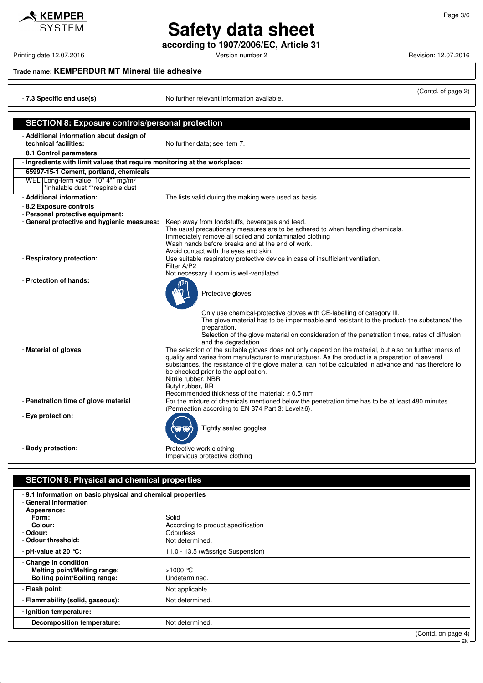**Safety data sheet according to 1907/2006/EC, Article 31**

Printing date 12.07.2016 **Principal and COVID-12.07.2016** Version number 2 Revision: 12.07.2016

 $\triangle$  KEMPER **SYSTEM** 

## **Trade name: KEMPERDUR MT Mineral tile adhesive**

| - 7.3 Specific end use(s)                                                           | (Contd. of page 2)<br>No further relevant information available.                                                                                                                                                                                                                                                                                                                                                                                                 |
|-------------------------------------------------------------------------------------|------------------------------------------------------------------------------------------------------------------------------------------------------------------------------------------------------------------------------------------------------------------------------------------------------------------------------------------------------------------------------------------------------------------------------------------------------------------|
|                                                                                     |                                                                                                                                                                                                                                                                                                                                                                                                                                                                  |
| <b>SECTION 8: Exposure controls/personal protection</b>                             |                                                                                                                                                                                                                                                                                                                                                                                                                                                                  |
| - Additional information about design of<br>technical facilities:                   | No further data; see item 7.                                                                                                                                                                                                                                                                                                                                                                                                                                     |
| -8.1 Control parameters                                                             |                                                                                                                                                                                                                                                                                                                                                                                                                                                                  |
| - Ingredients with limit values that require monitoring at the workplace:           |                                                                                                                                                                                                                                                                                                                                                                                                                                                                  |
| 65997-15-1 Cement, portland, chemicals                                              |                                                                                                                                                                                                                                                                                                                                                                                                                                                                  |
| WEL Long-term value: 10* 4** mg/m <sup>3</sup><br>*inhalable dust **respirable dust |                                                                                                                                                                                                                                                                                                                                                                                                                                                                  |
| - Additional information:                                                           | The lists valid during the making were used as basis.                                                                                                                                                                                                                                                                                                                                                                                                            |
| - 8.2 Exposure controls                                                             |                                                                                                                                                                                                                                                                                                                                                                                                                                                                  |
| - Personal protective equipment:                                                    |                                                                                                                                                                                                                                                                                                                                                                                                                                                                  |
| - General protective and hygienic measures:                                         | Keep away from foodstuffs, beverages and feed.<br>The usual precautionary measures are to be adhered to when handling chemicals.<br>Immediately remove all soiled and contaminated clothing<br>Wash hands before breaks and at the end of work.<br>Avoid contact with the eyes and skin.                                                                                                                                                                         |
| - Respiratory protection:                                                           | Use suitable respiratory protective device in case of insufficient ventilation.<br>Filter A/P2<br>Not necessary if room is well-ventilated.                                                                                                                                                                                                                                                                                                                      |
| - Protection of hands:                                                              | Protective gloves<br>Only use chemical-protective gloves with CE-labelling of category III.<br>The glove material has to be impermeable and resistant to the product/ the substance/ the<br>preparation.<br>Selection of the glove material on consideration of the penetration times, rates of diffusion<br>and the degradation                                                                                                                                 |
| - Material of gloves                                                                | The selection of the suitable gloves does not only depend on the material, but also on further marks of<br>quality and varies from manufacturer to manufacturer. As the product is a preparation of several<br>substances, the resistance of the glove material can not be calculated in advance and has therefore to<br>be checked prior to the application.<br>Nitrile rubber, NBR<br>Butyl rubber, BR<br>Recommended thickness of the material: $\geq 0.5$ mm |
| - Penetration time of glove material                                                | For the mixture of chemicals mentioned below the penetration time has to be at least 480 minutes<br>(Permeation according to EN 374 Part 3: Level≥6).                                                                                                                                                                                                                                                                                                            |
| - Eye protection:                                                                   | Tightly sealed goggles                                                                                                                                                                                                                                                                                                                                                                                                                                           |
| - Body protection:                                                                  | Protective work clothing<br>Impervious protective clothing                                                                                                                                                                                                                                                                                                                                                                                                       |

# **SECTION 9: Physical and chemical properties**

| -9.1 Information on basic physical and chemical properties<br>- General Information |                                    |
|-------------------------------------------------------------------------------------|------------------------------------|
| - Appearance:                                                                       |                                    |
| Form:                                                                               | Solid                              |
| Colour:                                                                             | According to product specification |
| - Odour:                                                                            | <b>Odourless</b>                   |
| - Odour threshold:                                                                  | Not determined.                    |
| - pH-value at 20 $°C$ :                                                             | 11.0 - 13.5 (wässrige Suspension)  |
| - Change in condition                                                               |                                    |
| Melting point/Melting range:                                                        | $>1000$ °C                         |
| Boiling point/Boiling range:                                                        | Undetermined.                      |
| - Flash point:                                                                      | Not applicable.                    |
| - Flammability (solid, gaseous):                                                    | Not determined.                    |
| - Ignition temperature:                                                             |                                    |
| <b>Decomposition temperature:</b>                                                   | Not determined.                    |
|                                                                                     | $\sqrt{2}$ $\sqrt{2}$ $\sqrt{2}$   |

(Contd. on page 4) EN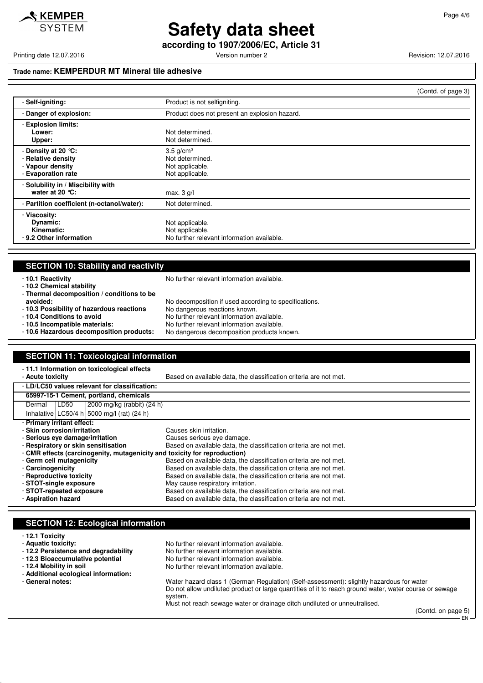

# **Safety data sheet**

**according to 1907/2006/EC, Article 31**

Printing date 12.07.2016 **Principal and Contract Contract Contract Contract Contract Contract Contract Contract Contract Contract Contract Contract Contract Contract Contract Contract Contract Contract Contract Contract Co** 

### **Trade name: KEMPERDUR MT Mineral tile adhesive**

|                                                                                        | (Contd. of page 3)                                                               |
|----------------------------------------------------------------------------------------|----------------------------------------------------------------------------------|
| - Self-igniting:                                                                       | Product is not selfigniting.                                                     |
| - Danger of explosion:                                                                 | Product does not present an explosion hazard.                                    |
| - Explosion limits:<br>Lower:<br>Upper:                                                | Not determined.<br>Not determined.                                               |
| - Density at 20 $°C$ :<br>- Relative density<br>- Vapour density<br>- Evaporation rate | $3.5$ g/cm <sup>3</sup><br>Not determined.<br>Not applicable.<br>Not applicable. |
| - Solubility in / Miscibility with<br>water at 20 $°C$ :                               | max. $3$ g/l                                                                     |
| - Partition coefficient (n-octanol/water):                                             | Not determined.                                                                  |
| - Viscosity:<br>Dynamic:<br>Kinematic:<br>- 9.2 Other information                      | Not applicable.<br>Not applicable.<br>No further relevant information available. |

### **SECTION 10: Stability and reactivity**

- **10.2 Chemical stability**

- **10.1 Reactivity** No further relevant information available.

- **Thermal decomposition / conditions to be**
- **avoided:** No decomposition if used according to specifications.<br>**10.3 Possibility of hazardous reactions** No dangerous reactions known. - 10.3 Possibility of hazardous reactions<br>- 10.4 Conditions to avoid
	- -
- **10.4 Conditions to avoid**<br> **10.5 Incompatible materials:** No further relevant information available.
- **10.5 Incompatible materials:** No further relevant information available. No dangerous decomposition products known.

#### **SECTION 11: Toxicological information** - **11.1 Information on toxicological effects** Based on available data, the classification criteria are not met. - **LD/LC50 values relevant for classification: 65997-15-1 Cement, portland, chemicals** Dermal LD50 2000 mg/kg (rabbit) (24 h) Inhalative LC50/4 h 5000 mg/l (rat)  $(24 h)$ - **Primary irritant effect:** - **Skin corrosion/irritation** Causes skin irritation. - **Serious eye damage/irritation** Causes serious eye damage. - **Respiratory or skin sensitisation** Based on available data, the classification criteria are not met. - **CMR effects (carcinogenity, mutagenicity and toxicity for reproduction)**

No further relevant information available.

- **Germ cell mutagenicity** Based on available data, the classification criteria are not met. - **Carcinogenicity** Based on available data, the classification criteria are not met.<br>- **Reproductive toxicity** Based on available data, the classification criteria are not met. Based on available data, the classification criteria are not met. **- STOT-single exposure May cause respiratory irritation.**<br>**- STOT-repeated exposure May caused on available data, the cla** Based on available data, the classification criteria are not met. - **Aspiration hazard** Based on available data, the classification criteria are not met.

### **SECTION 12: Ecological information**

#### - **12.1 Toxicity**

- **Aquatic toxicity:**<br>  **12.2 Persistence and degradability** No further relevant information available.
- 
- 
- 
- **Additional ecological information:**
- 

- **12.3 Bioaccumulative potential** No further relevant information available.<br>- **12.4 Mobility in soil** No further relevant information available. No further relevant information available. - **General notes:** Water hazard class 1 (German Regulation) (Self-assessment): slightly hazardous for water Do not allow undiluted product or large quantities of it to reach ground water, water course or sewage system.

Must not reach sewage water or drainage ditch undiluted or unneutralised.

(Contd. on page 5)

EN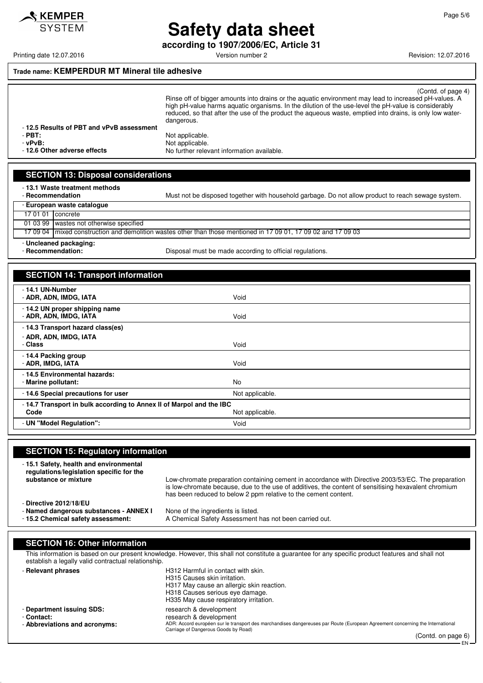

**Safety data sheet according to 1907/2006/EC, Article 31**

Printing date 12.07.2016 **Principal and COVID-12.07.2016** Version number 2 Revision: 12.07.2016

KEMPER **SYSTEM** 

### **Trade name: KEMPERDUR MT Mineral tile adhesive**

| -12.5 Results of PBT and vPvB assessment | (Contd. of page 4)<br>Rinse off of bigger amounts into drains or the aguatic environment may lead to increased pH-values. A<br>high pH-value harms aguatic organisms. In the dilution of the use-level the pH-value is considerably<br>reduced, so that after the use of the product the aqueous waste, emptied into drains, is only low water-<br>dangerous. |
|------------------------------------------|---------------------------------------------------------------------------------------------------------------------------------------------------------------------------------------------------------------------------------------------------------------------------------------------------------------------------------------------------------------|
| $-$ PBT:                                 | Not applicable.                                                                                                                                                                                                                                                                                                                                               |
| - vPvB:                                  | Not applicable.                                                                                                                                                                                                                                                                                                                                               |
| -12.6 Other adverse effects              | No further relevant information available.                                                                                                                                                                                                                                                                                                                    |
|                                          |                                                                                                                                                                                                                                                                                                                                                               |

| - European waste catalogue<br>17 01 01 Concrete                                                                   | Must not be disposed together with household garbage. Do not allow product to reach sewage system. |
|-------------------------------------------------------------------------------------------------------------------|----------------------------------------------------------------------------------------------------|
|                                                                                                                   |                                                                                                    |
|                                                                                                                   |                                                                                                    |
| 01 03 99 wastes not otherwise specified                                                                           |                                                                                                    |
| 17 09 04   mixed construction and demolition wastes other than those mentioned in 17 09 01, 17 09 02 and 17 09 03 |                                                                                                    |
| - Uncleaned packaging:<br>- Recommendation:<br>Disposal must be made according to official regulations.           |                                                                                                    |

| <b>SECTION 14: Transport information</b> |  |
|------------------------------------------|--|
|                                          |  |

**SECTION 13: Disposal considerations**

| - 14.1 UN-Number<br>- ADR, ADN, IMDG, IATA                          | Void            |  |
|---------------------------------------------------------------------|-----------------|--|
| - 14.2 UN proper shipping name<br>- ADR, ADN, IMDG, IATA            | Void            |  |
| -14.3 Transport hazard class(es)                                    |                 |  |
| - ADR, ADN, IMDG, IATA                                              |                 |  |
| - Class                                                             | Void            |  |
| -14.4 Packing group<br>- ADR, IMDG, IATA                            | Void            |  |
| - 14.5 Environmental hazards:                                       |                 |  |
| - Marine pollutant:                                                 | No              |  |
| - 14.6 Special precautions for user                                 | Not applicable. |  |
| -14.7 Transport in bulk according to Annex II of Marpol and the IBC |                 |  |
| Code                                                                | Not applicable. |  |
| - UN "Model Regulation":                                            | Void            |  |

| <b>SECTION 15: Regulatory information</b>                                                                                                                                                                 |                                                                                                                                                                                                                                                                                |  |  |  |
|-----------------------------------------------------------------------------------------------------------------------------------------------------------------------------------------------------------|--------------------------------------------------------------------------------------------------------------------------------------------------------------------------------------------------------------------------------------------------------------------------------|--|--|--|
| -15.1 Safety, health and environmental<br>regulations/legislation specific for the<br>substance or mixture                                                                                                | Low-chromate preparation containing cement in accordance with Directive 2003/53/EC. The preparation<br>is low-chromate because, due to the use of additives, the content of sensitising hexavalent chromium<br>has been reduced to below 2 ppm relative to the cement content. |  |  |  |
| - Directive 2012/18/EU<br>- Named dangerous substances - ANNEX I<br>- 15.2 Chemical safety assessment:                                                                                                    | None of the ingredients is listed.<br>A Chemical Safety Assessment has not been carried out.                                                                                                                                                                                   |  |  |  |
| <b>SECTION 16: Other information</b>                                                                                                                                                                      |                                                                                                                                                                                                                                                                                |  |  |  |
| This information is based on our present knowledge. However, this shall not constitute a guarantee for any specific product features and shall not<br>establish a legally valid contractual relationship. |                                                                                                                                                                                                                                                                                |  |  |  |
| - Relevant phrases                                                                                                                                                                                        | H312 Harmful in contact with skin.<br>H315 Causes skin irritation.<br>H317 May cause an allergic skin reaction.<br>H318 Causes serious eye damage.<br>H335 May cause respiratory irritation.                                                                                   |  |  |  |
| - Department issuing SDS:<br>- Contact:<br>- Abbreviations and acronyms:                                                                                                                                  | research & development<br>research & development<br>ADR: Accord européen sur le transport des marchandises dangereuses par Route (European Agreement concerning the International<br>Carriage of Dangerous Goods by Road)                                                      |  |  |  |

(Contd. on page 6) EN